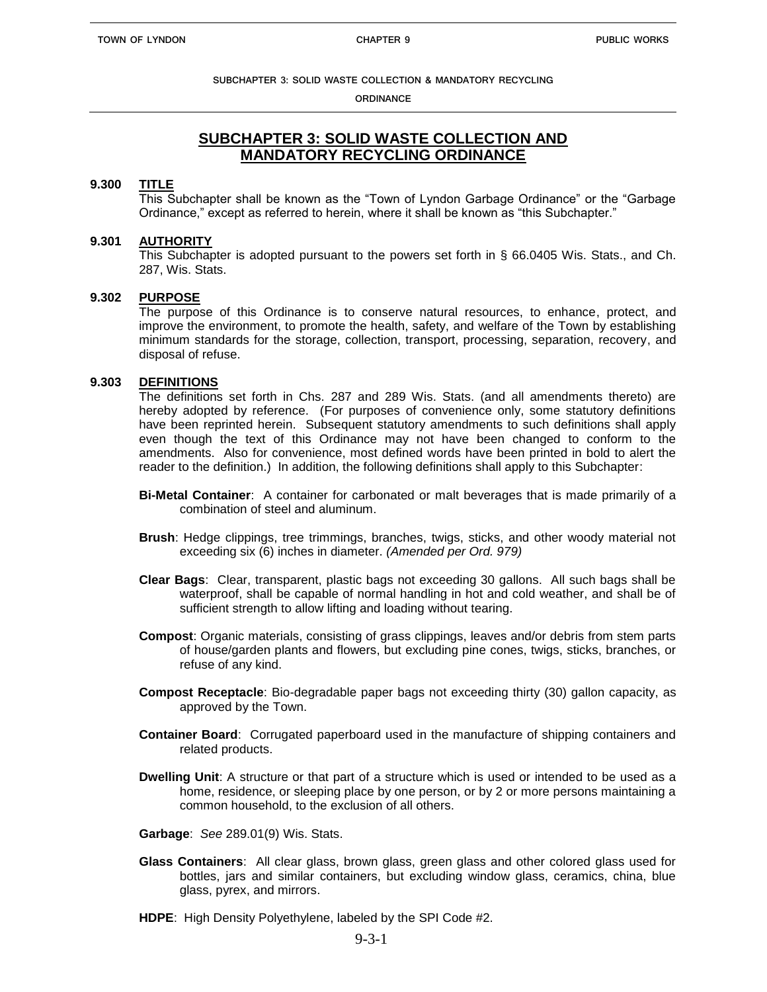**ORDINANCE**

# **SUBCHAPTER 3: SOLID WASTE COLLECTION AND MANDATORY RECYCLING ORDINANCE**

### **9.300 TITLE**

This Subchapter shall be known as the "Town of Lyndon Garbage Ordinance" or the "Garbage Ordinance," except as referred to herein, where it shall be known as "this Subchapter."

### **9.301 AUTHORITY**

This Subchapter is adopted pursuant to the powers set forth in § 66.0405 Wis. Stats., and Ch. 287, Wis. Stats.

### **9.302 PURPOSE**

The purpose of this Ordinance is to conserve natural resources, to enhance, protect, and improve the environment, to promote the health, safety, and welfare of the Town by establishing minimum standards for the storage, collection, transport, processing, separation, recovery, and disposal of refuse.

### **9.303 DEFINITIONS**

The definitions set forth in Chs. 287 and 289 Wis. Stats. (and all amendments thereto) are hereby adopted by reference. (For purposes of convenience only, some statutory definitions have been reprinted herein. Subsequent statutory amendments to such definitions shall apply even though the text of this Ordinance may not have been changed to conform to the amendments. Also for convenience, most defined words have been printed in bold to alert the reader to the definition.) In addition, the following definitions shall apply to this Subchapter:

- **Bi-Metal Container**: A container for carbonated or malt beverages that is made primarily of a combination of steel and aluminum.
- **Brush**: Hedge clippings, tree trimmings, branches, twigs, sticks, and other woody material not exceeding six (6) inches in diameter. *(Amended per Ord. 979)*
- **Clear Bags**: Clear, transparent, plastic bags not exceeding 30 gallons. All such bags shall be waterproof, shall be capable of normal handling in hot and cold weather, and shall be of sufficient strength to allow lifting and loading without tearing.
- **Compost**: Organic materials, consisting of grass clippings, leaves and/or debris from stem parts of house/garden plants and flowers, but excluding pine cones, twigs, sticks, branches, or refuse of any kind.
- **Compost Receptacle**: Bio-degradable paper bags not exceeding thirty (30) gallon capacity, as approved by the Town.
- **Container Board**: Corrugated paperboard used in the manufacture of shipping containers and related products.
- **Dwelling Unit**: A structure or that part of a structure which is used or intended to be used as a home, residence, or sleeping place by one person, or by 2 or more persons maintaining a common household, to the exclusion of all others.
- **Garbage**: *See* 289.01(9) Wis. Stats.
- **Glass Containers**: All clear glass, brown glass, green glass and other colored glass used for bottles, jars and similar containers, but excluding window glass, ceramics, china, blue glass, pyrex, and mirrors.
- **HDPE**: High Density Polyethylene, labeled by the SPI Code #2.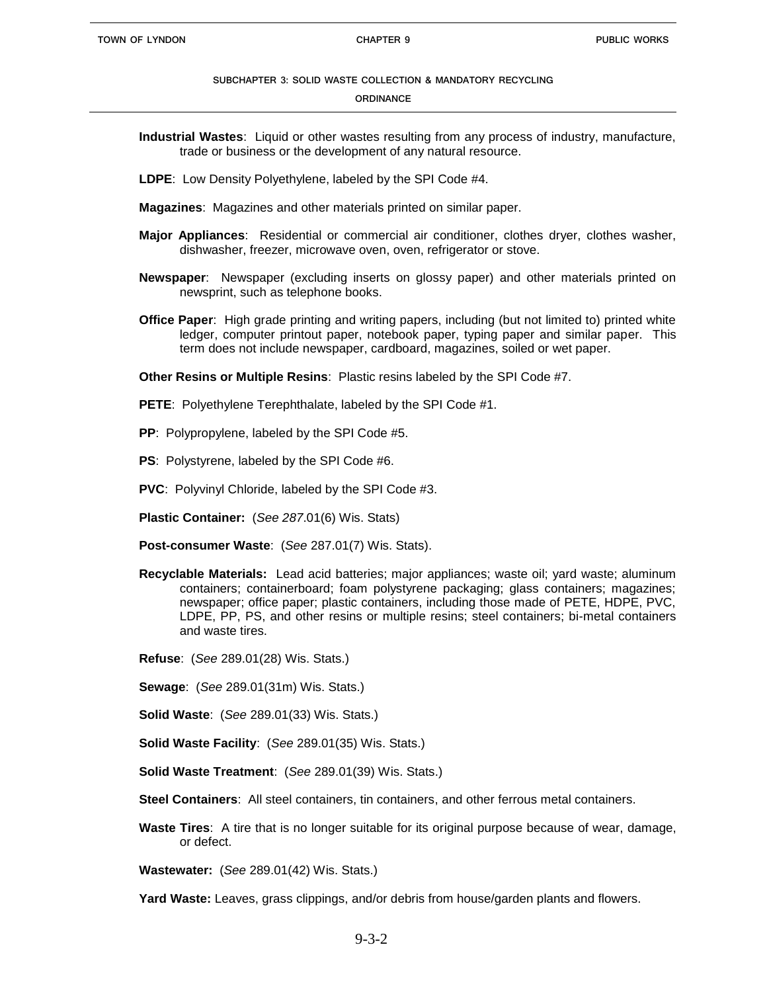#### **ORDINANCE**

- **Industrial Wastes**: Liquid or other wastes resulting from any process of industry, manufacture, trade or business or the development of any natural resource.
- **LDPE**: Low Density Polyethylene, labeled by the SPI Code #4.
- **Magazines**: Magazines and other materials printed on similar paper.
- **Major Appliances**: Residential or commercial air conditioner, clothes dryer, clothes washer, dishwasher, freezer, microwave oven, oven, refrigerator or stove.
- **Newspaper**: Newspaper (excluding inserts on glossy paper) and other materials printed on newsprint, such as telephone books.
- **Office Paper**: High grade printing and writing papers, including (but not limited to) printed white ledger, computer printout paper, notebook paper, typing paper and similar paper. This term does not include newspaper, cardboard, magazines, soiled or wet paper.

**Other Resins or Multiple Resins**: Plastic resins labeled by the SPI Code #7.

**PETE**: Polyethylene Terephthalate, labeled by the SPI Code #1.

- **PP**: Polypropylene, labeled by the SPI Code #5.
- **PS**: Polystyrene, labeled by the SPI Code #6.
- **PVC**: Polyvinyl Chloride, labeled by the SPI Code #3.
- **Plastic Container:** (*See 287*.01(6) Wis. Stats)
- **Post-consumer Waste**: (*See* 287.01(7) Wis. Stats).
- **Recyclable Materials:** Lead acid batteries; major appliances; waste oil; yard waste; aluminum containers; containerboard; foam polystyrene packaging; glass containers; magazines; newspaper; office paper; plastic containers, including those made of PETE, HDPE, PVC, LDPE, PP, PS, and other resins or multiple resins; steel containers; bi-metal containers and waste tires.
- **Refuse**: (*See* 289.01(28) Wis. Stats.)
- **Sewage**: (*See* 289.01(31m) Wis. Stats.)
- **Solid Waste**: (*See* 289.01(33) Wis. Stats.)
- **Solid Waste Facility**: (*See* 289.01(35) Wis. Stats.)
- **Solid Waste Treatment**: (*See* 289.01(39) Wis. Stats.)
- **Steel Containers**: All steel containers, tin containers, and other ferrous metal containers.
- **Waste Tires**: A tire that is no longer suitable for its original purpose because of wear, damage, or defect.

**Wastewater:** (*See* 289.01(42) Wis. Stats.)

**Yard Waste:** Leaves, grass clippings, and/or debris from house/garden plants and flowers.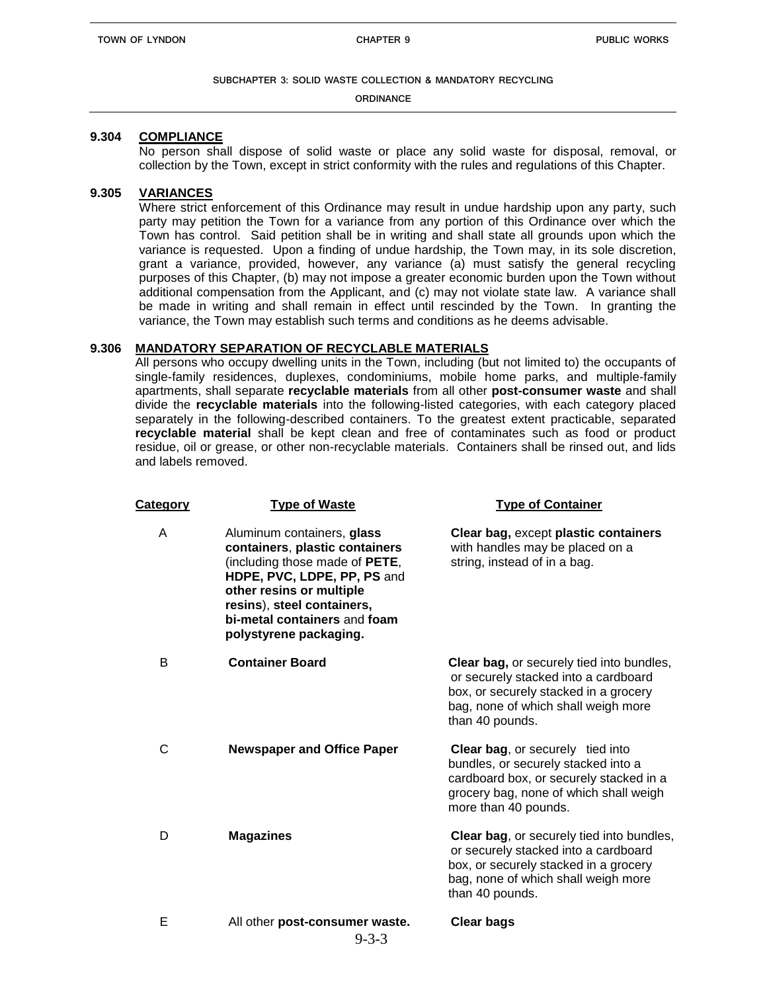**ORDINANCE**

### **9.304 COMPLIANCE**

No person shall dispose of solid waste or place any solid waste for disposal, removal, or collection by the Town, except in strict conformity with the rules and regulations of this Chapter.

# **9.305 VARIANCES**

Where strict enforcement of this Ordinance may result in undue hardship upon any party, such party may petition the Town for a variance from any portion of this Ordinance over which the Town has control. Said petition shall be in writing and shall state all grounds upon which the variance is requested. Upon a finding of undue hardship, the Town may, in its sole discretion, grant a variance, provided, however, any variance (a) must satisfy the general recycling purposes of this Chapter, (b) may not impose a greater economic burden upon the Town without additional compensation from the Applicant, and (c) may not violate state law. A variance shall be made in writing and shall remain in effect until rescinded by the Town. In granting the variance, the Town may establish such terms and conditions as he deems advisable.

### **9.306 MANDATORY SEPARATION OF RECYCLABLE MATERIALS**

All persons who occupy dwelling units in the Town, including (but not limited to) the occupants of single-family residences, duplexes, condominiums, mobile home parks, and multiple-family apartments, shall separate **recyclable materials** from all other **post-consumer waste** and shall divide the **recyclable materials** into the following-listed categories, with each category placed separately in the following-described containers. To the greatest extent practicable, separated **recyclable material** shall be kept clean and free of contaminates such as food or product residue, oil or grease, or other non-recyclable materials. Containers shall be rinsed out, and lids and labels removed.

| <b>Category</b> | <b>Type of Waste</b>                                                                                                                                                                                                                              | <b>Type of Container</b>                                                                                                                                                                    |
|-----------------|---------------------------------------------------------------------------------------------------------------------------------------------------------------------------------------------------------------------------------------------------|---------------------------------------------------------------------------------------------------------------------------------------------------------------------------------------------|
| A               | Aluminum containers, glass<br>containers, plastic containers<br>(including those made of PETE,<br>HDPE, PVC, LDPE, PP, PS and<br>other resins or multiple<br>resins), steel containers,<br>bi-metal containers and foam<br>polystyrene packaging. | Clear bag, except plastic containers<br>with handles may be placed on a<br>string, instead of in a bag.                                                                                     |
| B               | <b>Container Board</b>                                                                                                                                                                                                                            | <b>Clear bag, or securely tied into bundles,</b><br>or securely stacked into a cardboard<br>box, or securely stacked in a grocery<br>bag, none of which shall weigh more<br>than 40 pounds. |
| $\mathsf{C}$    | <b>Newspaper and Office Paper</b>                                                                                                                                                                                                                 | <b>Clear bag, or securely tied into</b><br>bundles, or securely stacked into a<br>cardboard box, or securely stacked in a<br>grocery bag, none of which shall weigh<br>more than 40 pounds. |
| D               | <b>Magazines</b>                                                                                                                                                                                                                                  | <b>Clear bag, or securely tied into bundles,</b><br>or securely stacked into a cardboard<br>box, or securely stacked in a grocery<br>bag, none of which shall weigh more<br>than 40 pounds. |
| E               | All other post-consumer waste.<br>$9 - 3 - 3$                                                                                                                                                                                                     | <b>Clear bags</b>                                                                                                                                                                           |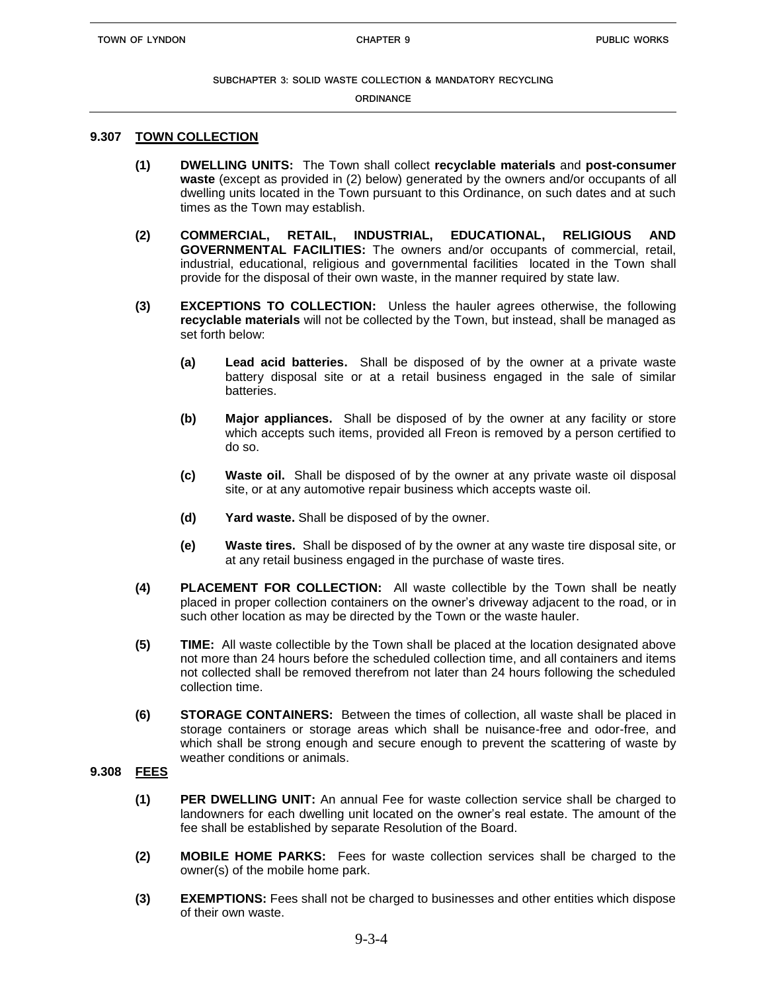#### **ORDINANCE**

### **9.307 TOWN COLLECTION**

- **(1) DWELLING UNITS:** The Town shall collect **recyclable materials** and **post-consumer waste** (except as provided in (2) below) generated by the owners and/or occupants of all dwelling units located in the Town pursuant to this Ordinance, on such dates and at such times as the Town may establish.
- **(2) COMMERCIAL, RETAIL, INDUSTRIAL, EDUCATIONAL, RELIGIOUS AND GOVERNMENTAL FACILITIES:** The owners and/or occupants of commercial, retail, industrial, educational, religious and governmental facilities located in the Town shall provide for the disposal of their own waste, in the manner required by state law.
- **(3) EXCEPTIONS TO COLLECTION:** Unless the hauler agrees otherwise, the following **recyclable materials** will not be collected by the Town, but instead, shall be managed as set forth below:
	- **(a) Lead acid batteries.** Shall be disposed of by the owner at a private waste battery disposal site or at a retail business engaged in the sale of similar batteries.
	- **(b) Major appliances.** Shall be disposed of by the owner at any facility or store which accepts such items, provided all Freon is removed by a person certified to do so.
	- **(c) Waste oil.** Shall be disposed of by the owner at any private waste oil disposal site, or at any automotive repair business which accepts waste oil.
	- **(d) Yard waste.** Shall be disposed of by the owner.
	- **(e) Waste tires.** Shall be disposed of by the owner at any waste tire disposal site, or at any retail business engaged in the purchase of waste tires.
- **(4) PLACEMENT FOR COLLECTION:** All waste collectible by the Town shall be neatly placed in proper collection containers on the owner's driveway adjacent to the road, or in such other location as may be directed by the Town or the waste hauler.
- **(5) TIME:** All waste collectible by the Town shall be placed at the location designated above not more than 24 hours before the scheduled collection time, and all containers and items not collected shall be removed therefrom not later than 24 hours following the scheduled collection time.
- **(6) STORAGE CONTAINERS:** Between the times of collection, all waste shall be placed in storage containers or storage areas which shall be nuisance-free and odor-free, and which shall be strong enough and secure enough to prevent the scattering of waste by weather conditions or animals.

# **9.308 FEES**

- **(1) PER DWELLING UNIT:** An annual Fee for waste collection service shall be charged to landowners for each dwelling unit located on the owner's real estate. The amount of the fee shall be established by separate Resolution of the Board.
- **(2) MOBILE HOME PARKS:** Fees for waste collection services shall be charged to the owner(s) of the mobile home park.
- **(3) EXEMPTIONS:** Fees shall not be charged to businesses and other entities which dispose of their own waste.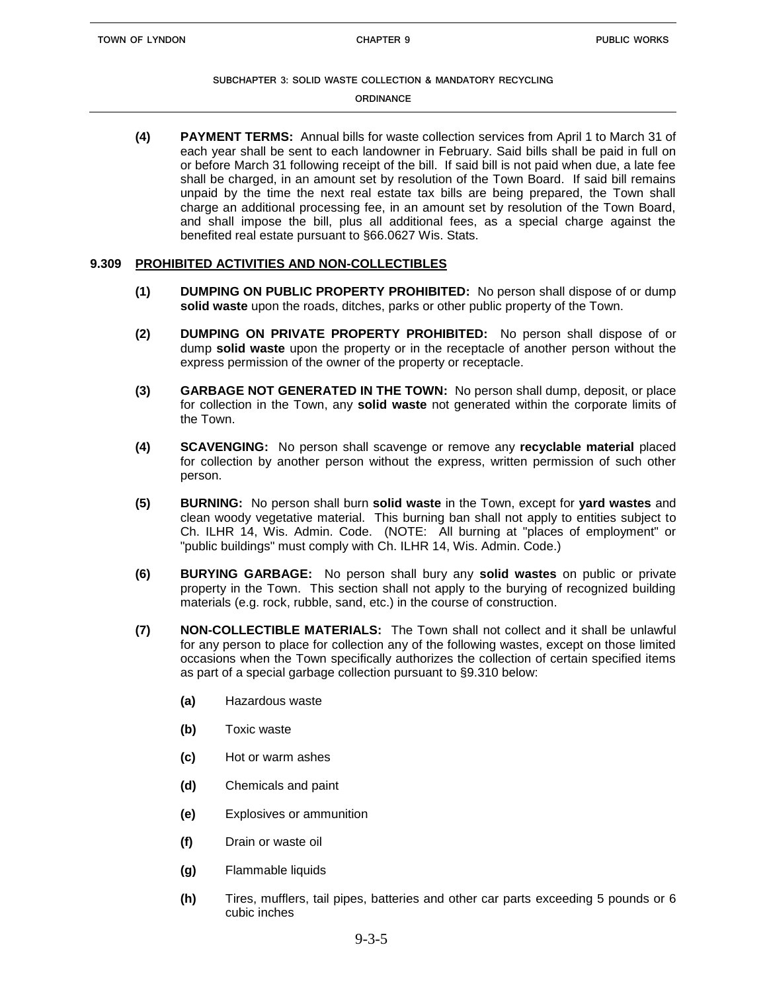#### **ORDINANCE**

**(4) PAYMENT TERMS:** Annual bills for waste collection services from April 1 to March 31 of each year shall be sent to each landowner in February. Said bills shall be paid in full on or before March 31 following receipt of the bill. If said bill is not paid when due, a late fee shall be charged, in an amount set by resolution of the Town Board. If said bill remains unpaid by the time the next real estate tax bills are being prepared, the Town shall charge an additional processing fee, in an amount set by resolution of the Town Board, and shall impose the bill, plus all additional fees, as a special charge against the benefited real estate pursuant to §66.0627 Wis. Stats.

### **9.309 PROHIBITED ACTIVITIES AND NON-COLLECTIBLES**

- **(1) DUMPING ON PUBLIC PROPERTY PROHIBITED:** No person shall dispose of or dump **solid waste** upon the roads, ditches, parks or other public property of the Town.
- **(2) DUMPING ON PRIVATE PROPERTY PROHIBITED:** No person shall dispose of or dump **solid waste** upon the property or in the receptacle of another person without the express permission of the owner of the property or receptacle.
- **(3) GARBAGE NOT GENERATED IN THE TOWN:** No person shall dump, deposit, or place for collection in the Town, any **solid waste** not generated within the corporate limits of the Town.
- **(4) SCAVENGING:** No person shall scavenge or remove any **recyclable material** placed for collection by another person without the express, written permission of such other person.
- **(5) BURNING:** No person shall burn **solid waste** in the Town, except for **yard wastes** and clean woody vegetative material. This burning ban shall not apply to entities subject to Ch. ILHR 14, Wis. Admin. Code. (NOTE: All burning at "places of employment" or "public buildings" must comply with Ch. ILHR 14, Wis. Admin. Code.)
- **(6) BURYING GARBAGE:** No person shall bury any **solid wastes** on public or private property in the Town. This section shall not apply to the burying of recognized building materials (e.g. rock, rubble, sand, etc.) in the course of construction.
- **(7) NON-COLLECTIBLE MATERIALS:** The Town shall not collect and it shall be unlawful for any person to place for collection any of the following wastes, except on those limited occasions when the Town specifically authorizes the collection of certain specified items as part of a special garbage collection pursuant to §9.310 below:
	- **(a)** Hazardous waste
	- **(b)** Toxic waste
	- **(c)** Hot or warm ashes
	- **(d)** Chemicals and paint
	- **(e)** Explosives or ammunition
	- **(f)** Drain or waste oil
	- **(g)** Flammable liquids
	- **(h)** Tires, mufflers, tail pipes, batteries and other car parts exceeding 5 pounds or 6 cubic inches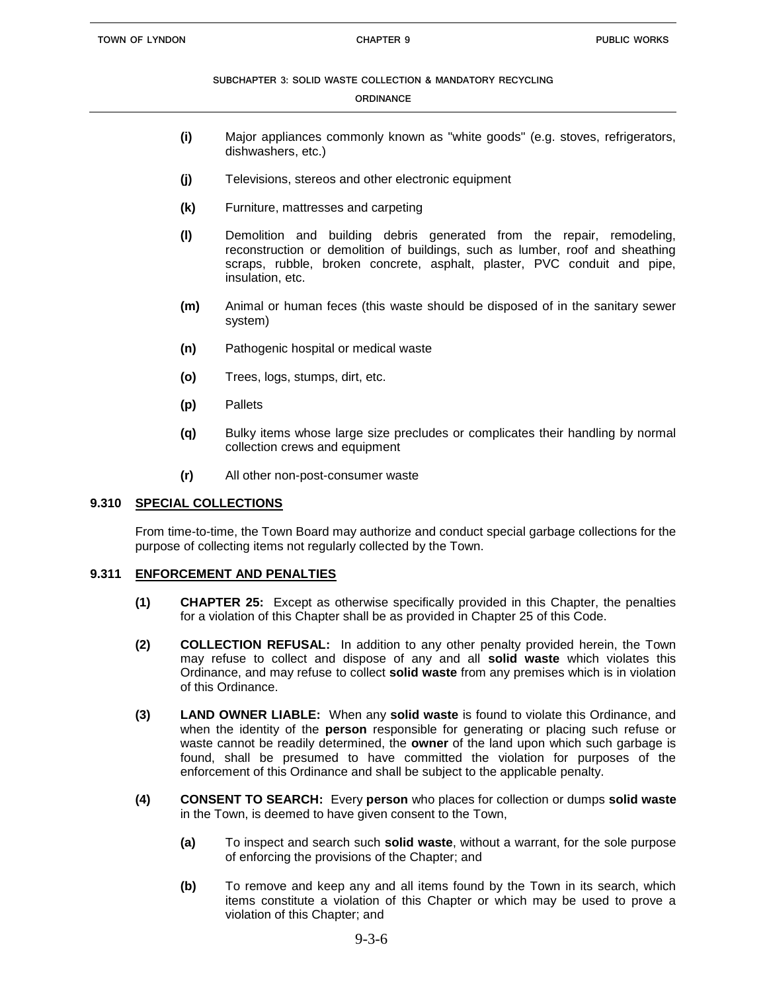#### **ORDINANCE**

- **(i)** Major appliances commonly known as "white goods" (e.g. stoves, refrigerators, dishwashers, etc.)
- **(j)** Televisions, stereos and other electronic equipment
- **(k)** Furniture, mattresses and carpeting
- **(l)** Demolition and building debris generated from the repair, remodeling, reconstruction or demolition of buildings, such as lumber, roof and sheathing scraps, rubble, broken concrete, asphalt, plaster, PVC conduit and pipe, insulation, etc.
- **(m)** Animal or human feces (this waste should be disposed of in the sanitary sewer system)
- **(n)** Pathogenic hospital or medical waste
- **(o)** Trees, logs, stumps, dirt, etc.
- **(p)** Pallets
- **(q)** Bulky items whose large size precludes or complicates their handling by normal collection crews and equipment
- **(r)** All other non-post-consumer waste

### **9.310 SPECIAL COLLECTIONS**

From time-to-time, the Town Board may authorize and conduct special garbage collections for the purpose of collecting items not regularly collected by the Town.

### **9.311 ENFORCEMENT AND PENALTIES**

- **(1) CHAPTER 25:** Except as otherwise specifically provided in this Chapter, the penalties for a violation of this Chapter shall be as provided in Chapter 25 of this Code.
- **(2) COLLECTION REFUSAL:** In addition to any other penalty provided herein, the Town may refuse to collect and dispose of any and all **solid waste** which violates this Ordinance, and may refuse to collect **solid waste** from any premises which is in violation of this Ordinance.
- **(3) LAND OWNER LIABLE:** When any **solid waste** is found to violate this Ordinance, and when the identity of the **person** responsible for generating or placing such refuse or waste cannot be readily determined, the **owner** of the land upon which such garbage is found, shall be presumed to have committed the violation for purposes of the enforcement of this Ordinance and shall be subject to the applicable penalty.
- **(4) CONSENT TO SEARCH:** Every **person** who places for collection or dumps **solid waste** in the Town, is deemed to have given consent to the Town,
	- **(a)** To inspect and search such **solid waste**, without a warrant, for the sole purpose of enforcing the provisions of the Chapter; and
	- **(b)** To remove and keep any and all items found by the Town in its search, which items constitute a violation of this Chapter or which may be used to prove a violation of this Chapter; and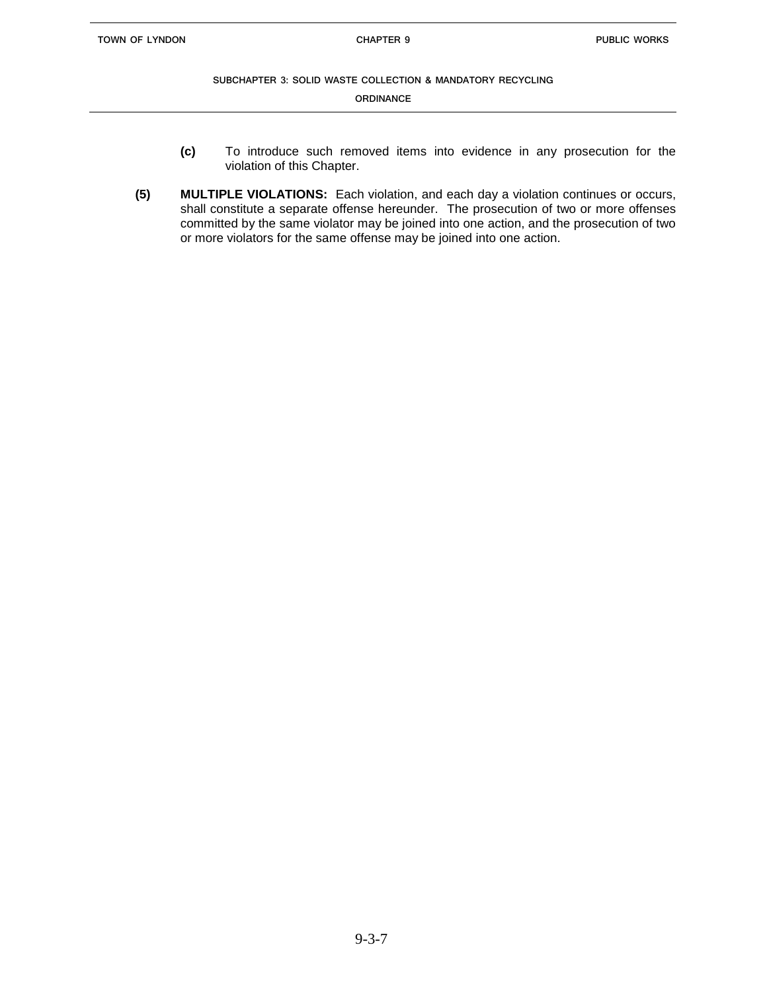**ORDINANCE**

- **(c)** To introduce such removed items into evidence in any prosecution for the violation of this Chapter.
- **(5) MULTIPLE VIOLATIONS:** Each violation, and each day a violation continues or occurs, shall constitute a separate offense hereunder. The prosecution of two or more offenses committed by the same violator may be joined into one action, and the prosecution of two or more violators for the same offense may be joined into one action.